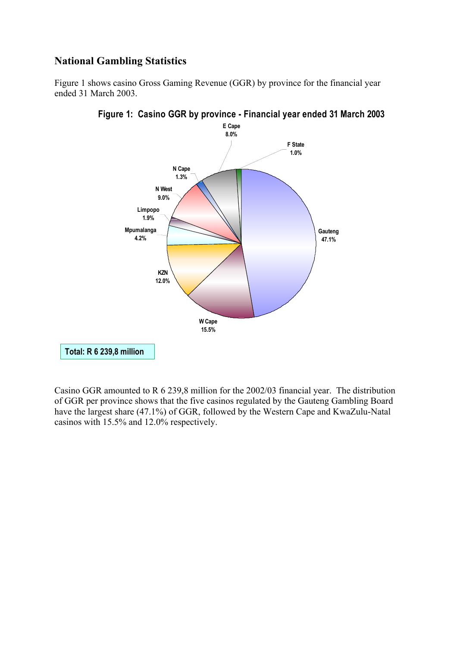## **National Gambling Statistics**

Figure 1 shows casino Gross Gaming Revenue (GGR) by province for the financial year ended 31 March 2003.





Casino GGR amounted to R 6 239,8 million for the 2002/03 financial year. The distribution of GGR per province shows that the five casinos regulated by the Gauteng Gambling Board have the largest share (47.1%) of GGR, followed by the Western Cape and KwaZulu-Natal casinos with 15.5% and 12.0% respectively.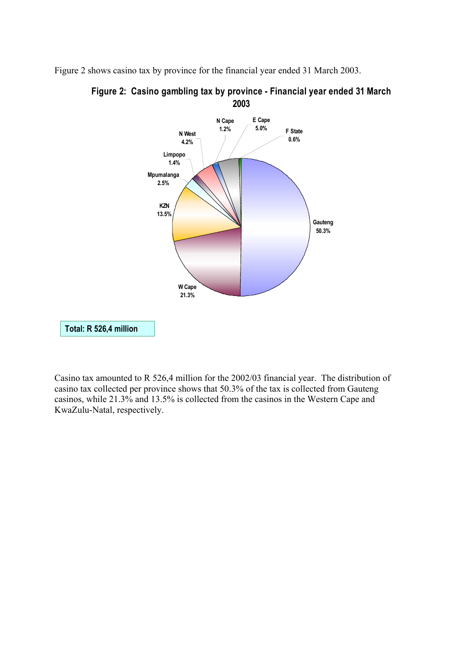Figure 2 shows casino tax by province for the financial year ended 31 March 2003.





Casino tax amounted to R 526,4 million for the 2002/03 financial year. The distribution of casino tax collected per province shows that 50.3% of the tax is collected from Gauteng casinos, while 21.3% and 13.5% is collected from the casinos in the Western Cape and KwaZulu-Natal, respectively.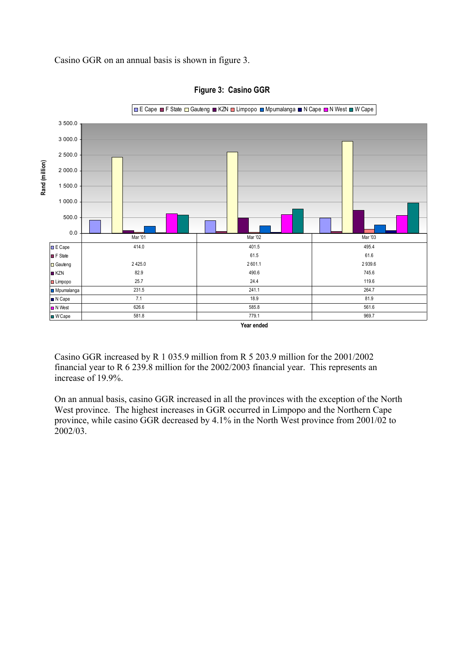



Casino GGR increased by R 1 035.9 million from R 5 203.9 million for the 2001/2002 financial year to R 6 239.8 million for the 2002/2003 financial year. This represents an increase of 19.9%.

On an annual basis, casino GGR increased in all the provinces with the exception of the North West province. The highest increases in GGR occurred in Limpopo and the Northern Cape province, while casino GGR decreased by 4.1% in the North West province from 2001/02 to 2002/03.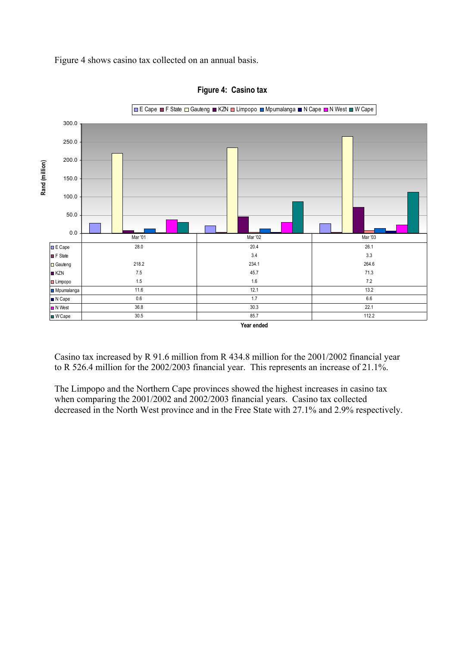Figure 4 shows casino tax collected on an annual basis.



**Figure 4: Casino tax**

Casino tax increased by R 91.6 million from R 434.8 million for the 2001/2002 financial year to R 526.4 million for the 2002/2003 financial year. This represents an increase of 21.1%.

The Limpopo and the Northern Cape provinces showed the highest increases in casino tax when comparing the 2001/2002 and 2002/2003 financial years. Casino tax collected decreased in the North West province and in the Free State with 27.1% and 2.9% respectively.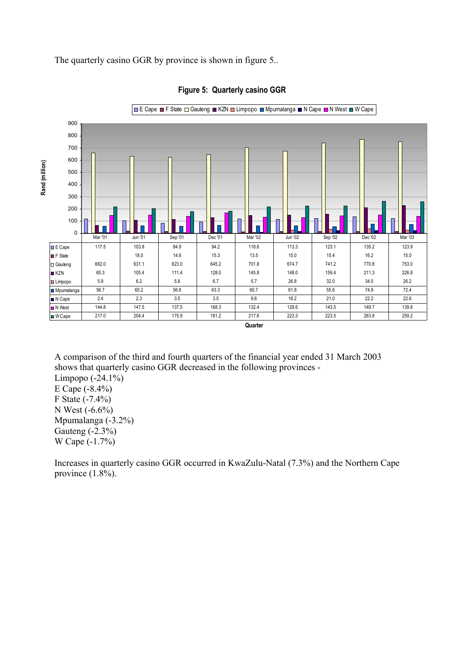The quarterly casino GGR by province is shown in figure 5..



**Figure 5: Quarterly casino GGR**

A comparison of the third and fourth quarters of the financial year ended 31 March 2003 shows that quarterly casino GGR decreased in the following provinces - Limpopo (-24.1%) E Cape (-8.4%) F State (-7.4%) N West (-6.6%) Mpumalanga (-3.2%) Gauteng (-2.3%) W Cape (-1.7%)

Increases in quarterly casino GGR occurred in KwaZulu-Natal (7.3%) and the Northern Cape province (1.8%).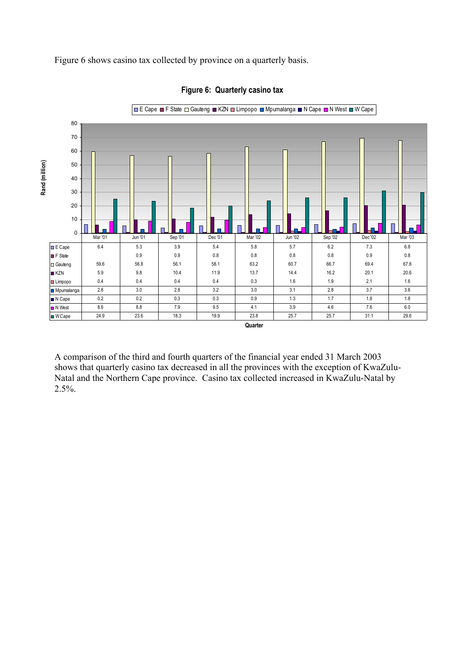Figure 6 shows casino tax collected by province on a quarterly basis.



**Figure 6: Quarterly casino tax**

A comparison of the third and fourth quarters of the financial year ended 31 March 2003 shows that quarterly casino tax decreased in all the provinces with the exception of KwaZulu-Natal and the Northern Cape province. Casino tax collected increased in KwaZulu-Natal by 2.5%.